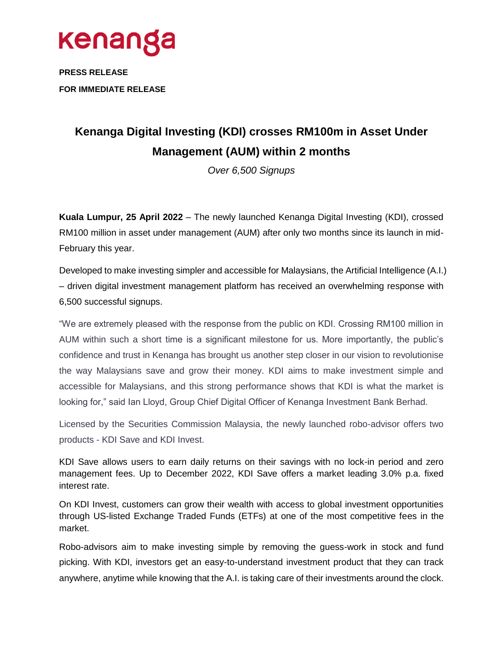

**PRESS RELEASE FOR IMMEDIATE RELEASE**

## **Kenanga Digital Investing (KDI) crosses RM100m in Asset Under Management (AUM) within 2 months**

*Over 6,500 Signups*

**Kuala Lumpur, 25 April 2022** – The newly launched Kenanga Digital Investing (KDI), crossed RM100 million in asset under management (AUM) after only two months since its launch in mid-February this year.

Developed to make investing simpler and accessible for Malaysians, the Artificial Intelligence (A.I.) – driven digital investment management platform has received an overwhelming response with 6,500 successful signups.

"We are extremely pleased with the response from the public on KDI. Crossing RM100 million in AUM within such a short time is a significant milestone for us. More importantly, the public's confidence and trust in Kenanga has brought us another step closer in our vision to revolutionise the way Malaysians save and grow their money. KDI aims to make investment simple and accessible for Malaysians, and this strong performance shows that KDI is what the market is looking for," said Ian Lloyd, Group Chief Digital Officer of Kenanga Investment Bank Berhad.

Licensed by the Securities Commission Malaysia, the newly launched robo-advisor offers two products - KDI Save and KDI Invest.

KDI Save allows users to earn daily returns on their savings with no lock-in period and zero management fees. Up to December 2022, KDI Save offers a market leading 3.0% p.a. fixed interest rate.

On KDI Invest, customers can grow their wealth with access to global investment opportunities through US-listed Exchange Traded Funds (ETFs) at one of the most competitive fees in the market.

Robo-advisors aim to make investing simple by removing the guess-work in stock and fund picking. With KDI, investors get an easy-to-understand investment product that they can track anywhere, anytime while knowing that the A.I. is taking care of their investments around the clock.